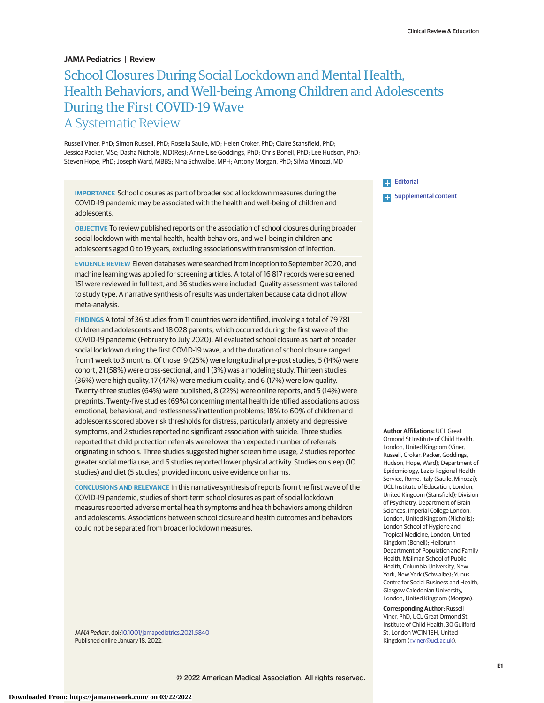# **JAMA Pediatrics | Review**

# School Closures During Social Lockdown and Mental Health, Health Behaviors, and Well-being Among Children and Adolescents During the First COVID-19 Wave A Systematic Review

Russell Viner, PhD; Simon Russell, PhD; Rosella Saulle, MD; Helen Croker, PhD; Claire Stansfield, PhD; Jessica Packer, MSc; Dasha Nicholls, MD(Res); Anne-Lise Goddings, PhD; Chris Bonell, PhD; Lee Hudson, PhD; Steven Hope, PhD; Joseph Ward, MBBS; Nina Schwalbe, MPH; Antony Morgan, PhD; Silvia Minozzi, MD

**IMPORTANCE** School closures as part of broader social lockdown measures during the COVID-19 pandemic may be associated with the health and well-being of children and adolescents.

**OBJECTIVE** To review published reports on the association of school closures during broader social lockdown with mental health, health behaviors, and well-being in children and adolescents aged 0 to 19 years, excluding associations with transmission of infection.

**EVIDENCE REVIEW** Eleven databases were searched from inception to September 2020, and machine learning was applied for screening articles. A total of 16 817 records were screened, 151 were reviewed in full text, and 36 studies were included. Quality assessment was tailored to study type. A narrative synthesis of results was undertaken because data did not allow meta-analysis.

**FINDINGS** A total of 36 studies from 11 countries were identified, involving a total of 79 781 children and adolescents and 18 028 parents, which occurred during the first wave of the COVID-19 pandemic (February to July 2020). All evaluated school closure as part of broader social lockdown during the first COVID-19 wave, and the duration of school closure ranged from 1 week to 3 months. Of those, 9 (25%) were longitudinal pre-post studies, 5 (14%) were cohort, 21 (58%) were cross-sectional, and 1 (3%) was a modeling study. Thirteen studies (36%) were high quality, 17 (47%) were medium quality, and 6 (17%) were low quality. Twenty-three studies (64%) were published, 8 (22%) were online reports, and 5 (14%) were preprints. Twenty-five studies (69%) concerning mental health identified associations across emotional, behavioral, and restlessness/inattention problems; 18% to 60% of children and adolescents scored above risk thresholds for distress, particularly anxiety and depressive symptoms, and 2 studies reported no significant association with suicide. Three studies reported that child protection referrals were lower than expected number of referrals originating in schools. Three studies suggested higher screen time usage, 2 studies reported greater social media use, and 6 studies reported lower physical activity. Studies on sleep (10 studies) and diet (5 studies) provided inconclusive evidence on harms.

**CONCLUSIONS AND RELEVANCE** In this narrative synthesis of reports from the first wave of the COVID-19 pandemic, studies of short-term school closures as part of social lockdown measures reported adverse mental health symptoms and health behaviors among children and adolescents. Associations between school closure and health outcomes and behaviors could not be separated from broader lockdown measures.

JAMA Pediatr. doi[:10.1001/jamapediatrics.2021.5840](https://jamanetwork.com/journals/jama/fullarticle/10.1001/jamapediatrics.2021.5840?utm_campaign=articlePDF%26utm_medium=articlePDFlink%26utm_source=articlePDF%26utm_content=jamapediatrics.2021.5840) Published online January 18, 2022.

**[Editorial](https://jamanetwork.com/journals/jama/fullarticle/10.1001/jamapediatrics.2021.3227?utm_campaign=articlePDF%26utm_medium=articlePDFlink%26utm_source=articlePDF%26utm_content=jamapediatrics.2021.5840) Examplemental content** 

**Author Affiliations:** UCL Great Ormond St Institute of Child Health, London, United Kingdom (Viner, Russell, Croker, Packer, Goddings, Hudson, Hope, Ward); Department of Epidemiology, Lazio Regional Health Service, Rome, Italy (Saulle, Minozzi); UCL Institute of Education, London, United Kingdom (Stansfield); Division of Psychiatry, Department of Brain Sciences, Imperial College London, London, United Kingdom (Nicholls); London School of Hygiene and Tropical Medicine, London, United Kingdom (Bonell); Heilbrunn Department of Population and Family Health, Mailman School of Public Health, Columbia University, New York, New York (Schwalbe); Yunus Centre for Social Business and Health, Glasgow Caledonian University, London, United Kingdom (Morgan).

**Corresponding Author:** Russell Viner, PhD, UCL Great Ormond St Institute of Child Health, 30 Guilford St, London WC1N 1EH, United Kingdom [\(r.viner@ucl.ac.uk\)](mailto:r.viner@ucl.ac.uk).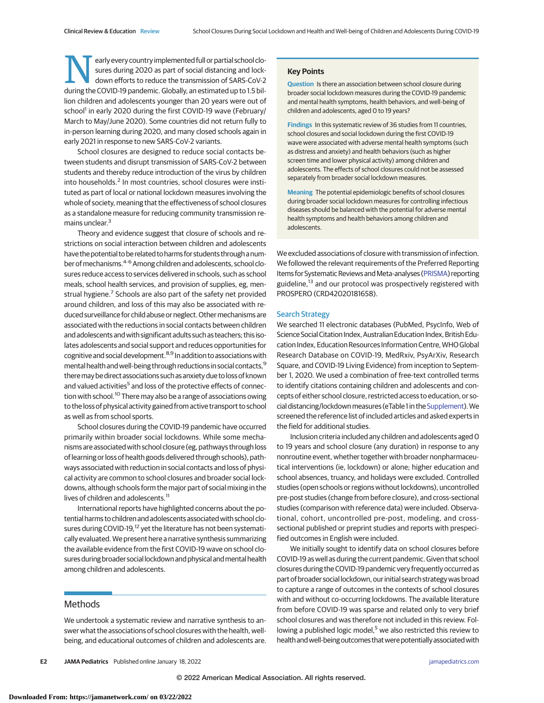early every country implemented full or partial school closures during 2020 as part of social distancing and lockdown efforts to reduce the transmission of SARS-CoV-2 during the COVID-19 pandemic. Globally, an estimated up to 1.5 billion children and adolescents younger than 20 years were out of school<sup>1</sup> in early 2020 during the first COVID-19 wave (February/ March to May/June 2020). Some countries did not return fully to in-person learning during 2020, and many closed schools again in early 2021 in response to new SARS-CoV-2 variants.

School closures are designed to reduce social contacts between students and disrupt transmission of SARS-CoV-2 between students and thereby reduce introduction of the virus by children into households.<sup>2</sup> In most countries, school closures were instituted as part of local or national lockdown measures involving the whole of society, meaning that the effectiveness of school closures as a standalone measure for reducing community transmission remains unclear.<sup>3</sup>

Theory and evidence suggest that closure of schools and restrictions on social interaction between children and adolescents have the potential to be related to harms for students througha number of mechanisms.<sup>4-6</sup> Among children and adolescents, school closures reduce access to services delivered in schools, such as school meals, school health services, and provision of supplies, eg, menstrual hygiene.<sup>7</sup> Schools are also part of the safety net provided around children, and loss of this may also be associated with reduced surveillance for child abuse or neglect. Other mechanisms are associated with the reductions in social contacts between children and adolescents and with significant adults such as teachers; this isolates adolescents and social support and reduces opportunities for cognitive and social development.8,9 In addition to associations with mental health and well-being through reductions in social contacts, <sup>9</sup> theremay be direct associations such as anxiety due to loss of known and valued activities<sup>5</sup> and loss of the protective effects of connection with school.<sup>10</sup> There may also be a range of associations owing to the loss of physical activity gained from active transport to school as well as from school sports.

School closures during the COVID-19 pandemic have occurred primarily within broader social lockdowns. While some mechanisms are associated with school closure (eg, pathways through loss of learning or loss of health goods delivered through schools), pathways associated with reduction in social contacts and loss of physical activity are common to school closures and broader social lockdowns, although schools form the major part of social mixing in the lives of children and adolescents.<sup>11</sup>

International reports have highlighted concerns about the potential harms to children and adolescents associated with school closures during COVID-19,<sup>12</sup> yet the literature has not been systematically evaluated.We present here a narrative synthesis summarizing the available evidence from the first COVID-19 wave on school closures during broader social lockdown and physical and mental health among children and adolescents.

# **Methods**

We undertook a systematic review and narrative synthesis to answer what the associations of school closures with the health, wellbeing, and educational outcomes of children and adolescents are.

## **Key Points**

**Question** Is there an association between school closure during broader social lockdown measures during the COVID-19 pandemic and mental health symptoms, health behaviors, and well-being of children and adolescents, aged 0 to 19 years?

**Findings** In this systematic review of 36 studies from 11 countries, school closures and social lockdown during the first COVID-19 wave were associated with adverse mental health symptoms (such as distress and anxiety) and health behaviors (such as higher screen time and lower physical activity) among children and adolescents. The effects of school closures could not be assessed separately from broader social lockdown measures.

**Meaning** The potential epidemiologic benefits of school closures during broader social lockdown measures for controlling infectious diseases should be balanced with the potential for adverse mental health symptoms and health behaviors among children and adolescents.

We excluded associations of closure with transmission of infection. We followed the relevant requirements of the Preferred Reporting Items for Systematic Reviews and Meta-analyses [\(PRISMA\)](http://www.equator-network.org/reporting-guidelines/prisma/) reporting guideline,<sup>13</sup> and our protocol was prospectively registered with PROSPERO (CRD42020181658).

## Search Strategy

We searched 11 electronic databases (PubMed, PsycInfo, Web of Science Social Citation Index, Australian Education Index, British Education Index, Education Resources Information Centre,WHO Global Research Database on COVID-19, MedRxiv, PsyArXiv, Research Square, and COVID-19 Living Evidence) from inception to September 1, 2020. We used a combination of free-text controlled terms to identify citations containing children and adolescents and concepts of either school closure, restricted access to education, or so-cial distancing/lockdown measures (eTable 1 in the [Supplement\)](https://jamanetwork.com/journals/jama/fullarticle/10.1001/jamapediatrics.2021.5840?utm_campaign=articlePDF%26utm_medium=articlePDFlink%26utm_source=articlePDF%26utm_content=jamapediatrics.2021.5840). We screened the reference list of included articles and asked experts in the field for additional studies.

Inclusion criteria included any children and adolescents aged 0 to 19 years and school closure (any duration) in response to any nonroutine event, whether together with broader nonpharmaceutical interventions (ie, lockdown) or alone; higher education and school absences, truancy, and holidays were excluded. Controlled studies (open schools or regions without lockdowns), uncontrolled pre-post studies (change from before closure), and cross-sectional studies (comparison with reference data) were included. Observational, cohort, uncontrolled pre-post, modeling, and crosssectional published or preprint studies and reports with prespecified outcomes in English were included.

We initially sought to identify data on school closures before COVID-19 as well as during the current pandemic. Given that school closures during the COVID-19 pandemic very frequently occurred as part of broader social lockdown, our initial search strategy was broad to capture a range of outcomes in the contexts of school closures with and without co-occurring lockdowns. The available literature from before COVID-19 was sparse and related only to very brief school closures and was therefore not included in this review. Following a published logic model,<sup>5</sup> we also restricted this review to health and well-being outcomes that were potentially associated with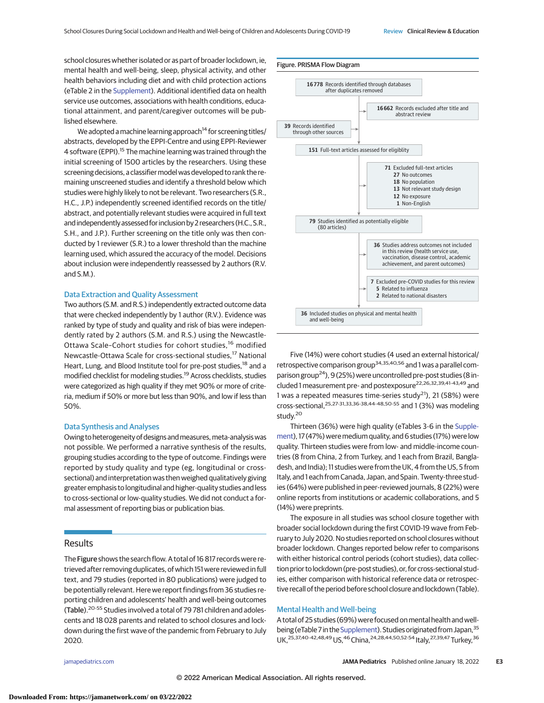school closures whether isolated or as part of broader lockdown, ie, mental health and well-being, sleep, physical activity, and other health behaviors including diet and with child protection actions (eTable 2 in the [Supplement\)](https://jamanetwork.com/journals/jama/fullarticle/10.1001/jamapediatrics.2021.5840?utm_campaign=articlePDF%26utm_medium=articlePDFlink%26utm_source=articlePDF%26utm_content=jamapediatrics.2021.5840). Additional identified data on health service use outcomes, associations with health conditions, educational attainment, and parent/caregiver outcomes will be published elsewhere.

We adopted a machine learning approach<sup>14</sup> for screening titles/ abstracts, developed by the EPPI-Centre and using EPPI-Reviewer 4 software (EPPI).<sup>15</sup> The machine learning was trained through the initial screening of 1500 articles by the researchers. Using these screening decisions, a classifier model was developed to rank the remaining unscreened studies and identify a threshold below which studies were highly likely to not be relevant. Two researchers (S.R., H.C., J.P.) independently screened identified records on the title/ abstract, and potentially relevant studies were acquired in full text and independently assessed for inclusion by 2 researchers (H.C., S.R., S.H., and J.P.). Further screening on the title only was then conducted by 1 reviewer (S.R.) to a lower threshold than the machine learning used, which assured the accuracy of the model. Decisions about inclusion were independently reassessed by 2 authors (R.V. and S.M.).

#### Data Extraction and Quality Assessment

Two authors (S.M. and R.S.) independently extracted outcome data that were checked independently by 1 author (R.V.). Evidence was ranked by type of study and quality and risk of bias were independently rated by 2 authors (S.M. and R.S.) using the Newcastle-Ottawa Scale-Cohort studies for cohort studies,<sup>16</sup> modified Newcastle-Ottawa Scale for cross-sectional studies,<sup>17</sup> National Heart, Lung, and Blood Institute tool for pre-post studies,<sup>18</sup> and a modified checklist for modeling studies.19 Across checklists, studies were categorized as high quality if they met 90% or more of criteria, medium if 50% or more but less than 90%, and low if less than 50%.

#### Data Synthesis and Analyses

Owing to heterogeneity of designs and measures, meta-analysis was not possible. We performed a narrative synthesis of the results, grouping studies according to the type of outcome. Findings were reported by study quality and type (eg, longitudinal or crosssectional) and interpretation was then weighed qualitatively giving greater emphasis to longitudinal and higher-quality studies and less to cross-sectional or low-quality studies. We did not conduct a formal assessment of reporting bias or publication bias.

## Results

The Figure shows the search flow. A total of 16 817 records were retrieved after removing duplicates, of which 151 were reviewed in full text, and 79 studies (reported in 80 publications) were judged to be potentially relevant. Here we report findings from 36 studies reporting children and adolescents' health and well-being outcomes (Table).<sup>20-55</sup> Studies involved a total of 79 781 children and adolescents and 18 028 parents and related to school closures and lockdown during the first wave of the pandemic from February to July 2020.



Five (14%) were cohort studies (4 used an external historical/ retrospective comparison group34,35,40,56 and 1 was a parallel comparison group<sup>24</sup>), 9 (25%) were uncontrolled pre-post studies (8 included 1 measurement pre- and postexposure22,26,32,39,41-43,49 and 1 was a repeated measures time-series study<sup>21</sup>), 21 (58%) were cross-sectional,25,27-31,33,36-38,44-48,50-55 and 1 (3%) was modeling study.<sup>20</sup>

Thirteen (36%) were high quality (eTables 3-6 in the [Supple](https://jamanetwork.com/journals/jama/fullarticle/10.1001/jamapediatrics.2021.5840?utm_campaign=articlePDF%26utm_medium=articlePDFlink%26utm_source=articlePDF%26utm_content=jamapediatrics.2021.5840)[ment\)](https://jamanetwork.com/journals/jama/fullarticle/10.1001/jamapediatrics.2021.5840?utm_campaign=articlePDF%26utm_medium=articlePDFlink%26utm_source=articlePDF%26utm_content=jamapediatrics.2021.5840), 17 (47%) were medium quality, and 6 studies (17%) were low quality. Thirteen studies were from low- and middle-income countries (8 from China, 2 from Turkey, and 1 each from Brazil, Bangladesh, and India); 11 studies were from the UK, 4 from the US, 5 from Italy, and 1 each from Canada, Japan, and Spain. Twenty-three studies (64%) were published in peer-reviewed journals, 8 (22%) were online reports from institutions or academic collaborations, and 5 (14%) were preprints.

The exposure in all studies was school closure together with broader social lockdown during the first COVID-19 wave from February to July 2020. No studies reported on school closures without broader lockdown. Changes reported below refer to comparisons with either historical control periods (cohort studies), data collection prior to lockdown (pre-post studies), or, for cross-sectional studies, either comparison with historical reference data or retrospective recall of the period before school closure and lockdown (Table).

# Mental Health and Well-being

A total of 25 studies (69%) were focused on mental health and well-being (eTable 7 in the [Supplement\)](https://jamanetwork.com/journals/jama/fullarticle/10.1001/jamapediatrics.2021.5840?utm_campaign=articlePDF%26utm_medium=articlePDFlink%26utm_source=articlePDF%26utm_content=jamapediatrics.2021.5840). Studies originated from Japan,<sup>35</sup> UK,<sup>25,37,40-42,48,49</sup> US,<sup>46</sup> China,<sup>24,28,44,50,52-54</sup> Italy,<sup>27,39,47</sup> Turkey,<sup>36</sup>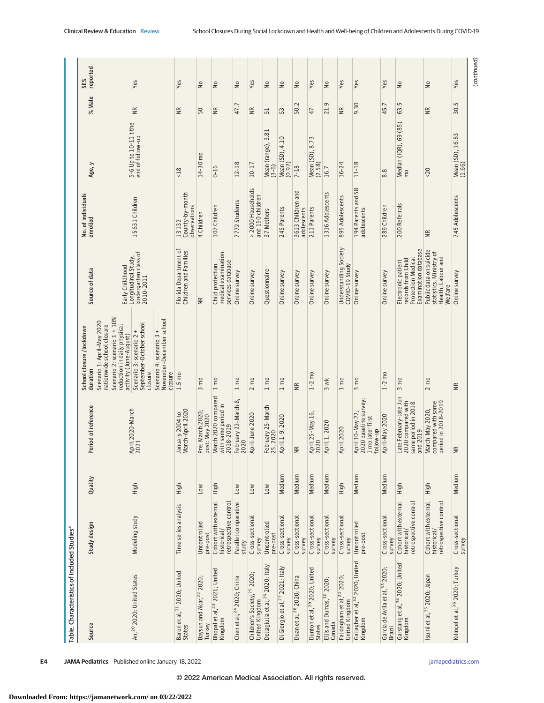| Table. Characteristics of Included Studies <sup>a</sup>   |                                                              |            |                                                                                 |                                                                                       |                                                                                               |                                          |                                           |                   |                 |
|-----------------------------------------------------------|--------------------------------------------------------------|------------|---------------------------------------------------------------------------------|---------------------------------------------------------------------------------------|-----------------------------------------------------------------------------------------------|------------------------------------------|-------------------------------------------|-------------------|-----------------|
| Source                                                    | Study design                                                 | Quality    | Period of reference                                                             | School closure /lockdown<br>duration                                                  | Source of data                                                                                | No. of individuals<br>enrolled           | Age, y                                    | % Male            | reported<br>SES |
|                                                           |                                                              |            |                                                                                 | Scenario 1: April-May 2020<br>nationwide school closure                               |                                                                                               |                                          |                                           |                   |                 |
|                                                           |                                                              |            |                                                                                 | Scenario 2: scenario 1 + 10%<br>reduction in daily physical<br>activity (June-August) | Early Childhood                                                                               |                                          |                                           |                   |                 |
| An, <sup>20</sup> 2020; United States                     | Modeling study                                               | High       | April 2020-March<br>2021                                                        | September-October school<br>Scenario 3: scenario 2 +<br>closure                       | kindergarten class of<br>Longitudinal Study,<br>2010-2011                                     | 15631 Children                           | 5-6 Up to 10-11 t the<br>end of follow-up | ΝR                | Yes             |
|                                                           |                                                              |            |                                                                                 | November-December school<br>Scenario 4: scenario 3 +<br>closure                       |                                                                                               |                                          |                                           |                   |                 |
| Baron et al, <sup>21</sup> 2020; United<br>States         | Time series analysis                                         | High       | March-April 2020<br>January 2004 to                                             | $1.5 \text{ mo}$                                                                      | Florida Department of<br>Children and Families                                                | County-by-month<br>observations<br>13132 | $<18$                                     | $\widetilde{\Xi}$ | Yes             |
| Baysun and Akar, <sup>22</sup> 2020;<br>Turkey            | Uncontrolled<br>pre-post                                     | <b>NOT</b> | Pre: March 2020;<br>post: May 2020                                              | $3 \text{ m}$                                                                         | $\widetilde{\Xi}$                                                                             | 4 Children                               | 14-30 mo                                  | 50                | S               |
| Bhopal et al, <sup>23</sup> 2021; United<br>Kingdom       | Cohort with external<br>retrospective control<br>historical/ | High       | March 2020 compared<br>with same period in<br>2018-2019                         | $1 \text{ m}$                                                                         | medical examination<br>services database<br>Child protection                                  | 107 Children                             | $0 - 16$                                  | $\widetilde{R}$   | š               |
| Chen et al, <sup>24</sup> 2020; China                     | Parallel comparative<br>study                                | Low        | February 22-March 8,<br>2020                                                    | $1 \text{ m}$                                                                         | Online survey                                                                                 | 7772 Students                            | $12 - 18$                                 | 47.7              | $\geq$          |
| Children's Society, <sup>25</sup> 2020;<br>United Kingdom | Cross-sectional<br>survey                                    | Low        | April-June 2020                                                                 | $2 \text{ m}$                                                                         | Online survey                                                                                 | > 2000 Households<br>and 150 children    | $10 - 17$                                 | ΝR                | Yes             |
| Dellagiulia et al, <sup>26</sup> 2020; Italy              | Uncontrolled<br>pre-post                                     | Low        | February 25-March<br>25,2020                                                    | $1 \text{ m}$                                                                         | Questionnaire                                                                                 | 37 Mothers                               | Mean (range), 3.81<br>$(3-6)$             | 51                | ٤               |
| Di Giorgio et al, <sup>27</sup> 2021; Italy               | Cross-sectional<br>survey                                    | Medium     | April 1-9, 2020                                                                 | $1 \text{ m}$                                                                         | Online survey                                                                                 | 245 Parents                              | Mean (SD), 4.10<br>(0.92)                 | 53                | S               |
| Duan et al, <sup>28</sup> 2020; China                     | Cross-sectional<br>survey                                    | Medium     | $\frac{R}{2}$                                                                   | $\widetilde{R}$                                                                       | Online survey                                                                                 | 3613 Children and<br>adolescents         | $7 - 18$                                  | 50.2              | š               |
| Dunton et al, <sup>29</sup> 2020; United<br>States        | Cross-sectional<br>survey                                    | Medium     | April 25-May 16,<br>2020                                                        | $1-2$ mo                                                                              | Online survey                                                                                 | 211 Parents                              | Mean (SD), 8.73<br>(2.58)                 | 47                | Yes             |
| Ellis and Dumas, 30 2020;<br>Canada                       | Cross-sectional<br>survey                                    | Medium     | April 1, 2020                                                                   | $3$ wk                                                                                | Online survey                                                                                 | 1316 Adolescents                         | 16.7                                      | 21.9              | Ş               |
| Falkingham et al, <sup>31</sup> 2020;<br>United Kingdom   | Cross-sectional<br>survey                                    | High       | April 2020                                                                      | 1 <sub>mp</sub>                                                                       | Understanding Society<br>COVID-19 Study                                                       | 895 Adolescents                          | $16 - 24$                                 | $\frac{R}{R}$     | Yes             |
| Gallagher et al, 32 2020; United<br>Kingdom               | Uncontrolled<br>pre-post                                     | Medium     | 2020 baseline survey;<br>April 10-May 22<br>1 mo later first<br>follow-up       | $3 \text{ m}$                                                                         | Online survey                                                                                 | 194 Parents and 58<br>adolescents        | $11 - 18$                                 | 9.30              | Yes             |
| Garcia de Avila et al, 33 2020;<br>Brazil                 | Cross-sectional<br>survey                                    | Medium     | April-May 2020                                                                  | $1-2$ mo                                                                              | Online survey                                                                                 | 289 Children                             | 8.8                                       | 45.7              | Yes             |
| Garstang et al, 34 2020; United<br>Kingdom                | Cohort with external<br>retrospective control<br>historical/ | High       | Late February-late Jun<br>2020 compared with<br>same period in 2018<br>and 2019 | $3 \text{ m}$                                                                         | Examination database<br>records from Child<br><b>Protection Medical</b><br>Electronic patient | 200 Referrals                            | Median (IQR), 69 (85)<br>mo               | 63.5              | $\geq$          |
| Isumi et al, <sup>35</sup> 2020; Japan                    | Cohort with external<br>retrospective control<br>historical/ | High       | compared with same<br>period in 2018-2019<br>March-May 2020,                    | $2 \text{ mo}$                                                                        | Public data on suicide<br>statistics, Ministry of<br>Health, Labour and<br>Welfare            | $\overline{\mathbb{R}}$                  | 50 <sup>2</sup>                           | $\widetilde{B}$   | $\geq$          |
| Kılınçel et al, <sup>36</sup> 2020; Turkey                | Cross-sectional<br>survey                                    | Medium     | $\cong$                                                                         | ΝR                                                                                    | Online survey                                                                                 | 745 Adolescents                          | Mean (SD), 16.83<br>(1.66)                | 30.5              | Yes             |
|                                                           |                                                              |            |                                                                                 |                                                                                       |                                                                                               |                                          |                                           |                   |                 |

**E4 JAMA Pediatrics** Published online January 18, 2022 *CON* **(Reprinting)** *A BU A and <i>S* and *Fediatrics.com* 

**Downloaded From: https://jamanetwork.com/ on 03/22/2022**

© 2022 American Medical Association. All rights reserved.

(continued) (continued)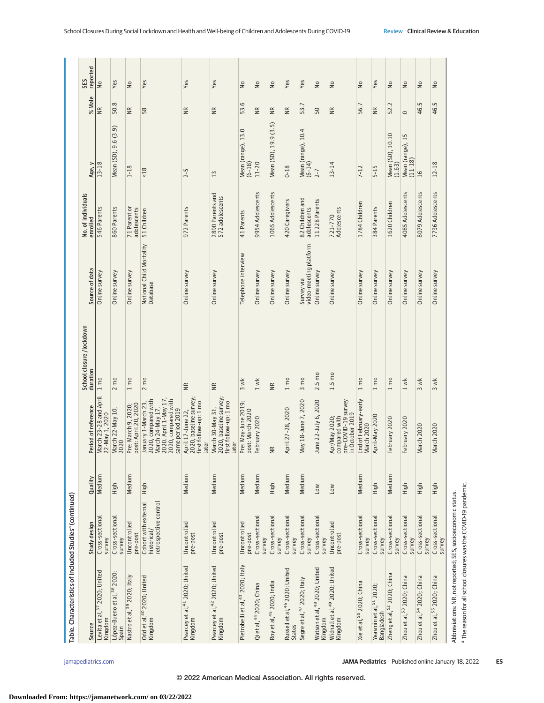| Table. Characteristics of Included Studies <sup>ª</sup> (continued)                                                                       |                                                              |            |                                                                                                                                    |                                      |                                             |                                     |                                  |                   |                 |
|-------------------------------------------------------------------------------------------------------------------------------------------|--------------------------------------------------------------|------------|------------------------------------------------------------------------------------------------------------------------------------|--------------------------------------|---------------------------------------------|-------------------------------------|----------------------------------|-------------------|-----------------|
| Source                                                                                                                                    | Study design                                                 | Quality    | Period of reference                                                                                                                | School closure /lockdown<br>duration | Source of data                              | No. of individuals<br>enrolled      | Age, y                           | % Male            | reported<br>SES |
| Levita et al, <sup>37</sup> 2020; United<br>Kingdom                                                                                       | Cross-sectional<br>survey                                    | Medium     | March 23-28 and April<br>22-May 1, 2020                                                                                            | $1 \text{ m0}$                       | Online survey                               | 546 Parents                         | $13 - 18$                        | NR                | ş               |
| López-Bueno et al, 38 2020;<br>Spain                                                                                                      | Cross-sectional<br>survey                                    | High       | March 22-May 10<br>2020                                                                                                            | $2 \text{ m}$                        | Online survey                               | 860 Parents                         | Mean (SD), 9.6 (3.9)             | 50.8              | Yes             |
| Nastro et al, 39 2020; Italy                                                                                                              | Uncontrolled<br>pre-post                                     | Medium     | Pre: March 9, 2020;<br>post: April 20, 2020                                                                                        | $1 \text{ m}$                        | Online survey                               | 71 Parent or<br>adolescents         | $1 - 18$                         | $\widetilde{\Xi}$ | š               |
| Odd et al, <sup>40</sup> 2020; United<br>Kingdom                                                                                          | retrospective control<br>Cohort with external<br>historical/ | High       | 2020. April 1-May 17,<br>2020, compared with<br>2020, compared with<br>March 24-May 17,<br>January 1-March 23,<br>same period 2019 | $2 \text{ m}$                        | National Child Mortality<br>Database        | 51 Children                         | 18                               | 58                | Yes             |
| Pearcey et al, <sup>41</sup> 2020; United<br>Kingdom                                                                                      | Uncontrolled<br>pre-post                                     | Medium     | 2020, baseline survey;<br>first follow-up: 1 mo<br>April 17-June 22,<br>later                                                      | χR                                   | Online survey                               | 972 Parents                         | $2 - 5$                          | $\frac{R}{R}$     | Yes             |
| Pearcey et al, <sup>42</sup> 2020; United<br>Kingdom                                                                                      | Uncontrolled<br>pre-post                                     | Medium     | March 30-May 31,<br>2020, baseline survey;<br>first follow-up: 1 mo<br>later                                                       | $\frac{R}{R}$                        | Online survey                               | 2890 Parents and<br>572 adolescents | 13                               | $\frac{R}{R}$     | Yes             |
| Pietrobelli et al, <sup>43</sup> 2020; Italy                                                                                              | Uncontrolled<br>pre-post                                     | Medium     | Pre: May-June 2019;<br>post: March 2020                                                                                            | $3$ wk                               | Telephone interview                         | 41 Parents                          | Mean (range), 13.0<br>$(6 - 18)$ | 53.6              | š               |
| Qi et al, 44 2020; China                                                                                                                  | Cross-sectional<br>survey                                    | Medium     | February 2020                                                                                                                      | $1$ w/k                              | Online survey                               | 9954 Adolescents                    | $11 - 20$                        | $\widetilde{R}$   | $\geq$          |
| Roy et al, <sup>45</sup> 2020; India                                                                                                      | Cross-sectional<br>survey                                    | High       | $\widetilde{B}$                                                                                                                    | $\widetilde{B}$                      | Online survey                               | 1065 Adolescents                    | Mean (SD), 19.9 (3.5)            | $\widetilde{\Xi}$ | Ş               |
| Russell et al, <sup>46</sup> 2020; United<br>States                                                                                       | Cross-sectional<br>survey                                    | Medium     | April 27-28, 2020                                                                                                                  | $1 \text{ m}$                        | Online survey                               | 420 Caregivers                      | $0 - 18$                         | $\frac{R}{R}$     | Yes             |
| Segre et al, <sup>47</sup> 2020; Italy                                                                                                    | Cross-sectional<br>survey                                    | Medium     | May 18-June 7, 2020                                                                                                                | $3 \text{ m}$                        | video-meeting platform<br><b>Survey via</b> | 82 Children and<br>adolescents      | Mean (range), 10.4<br>(6-14)     | 53.7              | Yes             |
| Watson et al, <sup>48</sup> 2020; United<br>Kingdom                                                                                       | Cross-sectional<br>survey                                    | Low        | June 22-July 6, 2020                                                                                                               | 2.5 mo                               | Online survey                               | 11228 Parents                       | $2 - 7$                          | 50                | š               |
| Widnall et al, <sup>49</sup> 2020; United<br>Kingdom                                                                                      | Uncontrolled<br>pre-post                                     | <b>NOT</b> | pre-COVID-19 survey<br>in October 2019<br>compared with<br>Apr/May 2020;                                                           | $1.5 \text{ mo}$                     | Online survey                               | Adolescents<br>721-770              | $13 - 14$                        | ΒŘ                | $\geq$          |
| Xie et al, <sup>50</sup> 2020; China                                                                                                      | Cross-sectional<br>survey                                    | Medium     | End of February-early<br>March 2020                                                                                                | 1 <sub>mp</sub>                      | Online survey                               | 1784 Children                       | $7 - 12$                         | 56.7              | $\geq$          |
| Yeasmin et al, <sup>51</sup> 2020;<br>Bangladesh                                                                                          | Cross-sectional<br>survey                                    | High       | April-May 2020                                                                                                                     | $1 \text{ m}$                        | Online survey                               | 384 Parents                         | $5 - 15$                         | $\widetilde{\Xi}$ | Yes             |
| Zheng et al, <sup>52</sup> 2020; China                                                                                                    | Cross-sectional<br>survey                                    | Medium     | February 2020                                                                                                                      | $1 \text{ m0}$                       | Online survey                               | 1620 Children                       | Mean (SD), 10.10<br>(1.63)       | 52.2              | ş               |
| Zhou et al, 53 2020; China                                                                                                                | Cross-sectional<br>survey                                    | High       | February 2020                                                                                                                      | $1$ w/k                              | Online survey                               | 4085 Adolescents                    | Mean (range), 15<br>(11-18)      | $\circ$           | ₽               |
| Zhou et al, 54 2020; China                                                                                                                | Cross-sectional<br>survey                                    | High       | March 2020                                                                                                                         | 3 wk                                 | Online survey                               | 8079 Adolescents                    | 16                               | 46.5              | $\geq$          |
| Zhou et al, 55 2020; China                                                                                                                | Cross-sectional<br>survey                                    | High       | March 2020                                                                                                                         | $3$ wk                               | Online survey                               | 7736 Adolescents                    | $12 - 18$                        | Lņ<br>46.         | $\geq$          |
| <sup>a</sup> The reason for all school closures was the COVID-19 pandemic.<br>Abbreviations: NR, not reported; SES, socioeconomic status. |                                                              |            |                                                                                                                                    |                                      |                                             |                                     |                                  |                   |                 |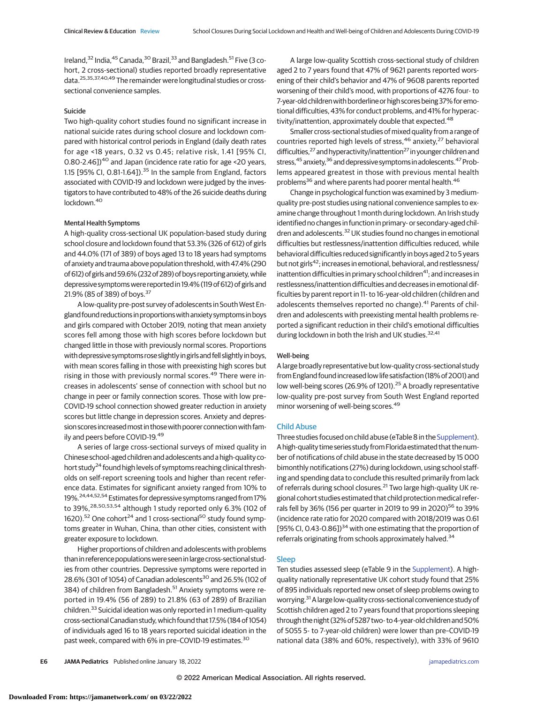Ireland,<sup>32</sup> India,<sup>45</sup> Canada,<sup>30</sup> Brazil,<sup>33</sup> and Bangladesh.<sup>51</sup> Five (3 cohort, 2 cross-sectional) studies reported broadly representative data.25,35,37,40,49 The remainder were longitudinal studies or crosssectional convenience samples.

## Suicide

Two high-quality cohort studies found no significant increase in national suicide rates during school closure and lockdown compared with historical control periods in England (daily death rates for age <18 years, 0.32 vs 0.45; relative risk, 1.41 [95% CI, 0.80-2.46])<sup>40</sup> and Japan (incidence rate ratio for age <20 years, 1.15 [95% CI, 0.81-1.64]).<sup>35</sup> In the sample from England, factors associated with COVID-19 and lockdown were judged by the investigators to have contributed to 48% of the 26 suicide deaths during lockdown.<sup>40</sup>

## Mental Health Symptoms

A high-quality cross-sectional UK population-based study during school closure and lockdown found that 53.3% (326 of 612) of girls and 44.0% (171 of 389) of boys aged 13 to 18 years had symptoms of anxiety and trauma above population threshold, with 47.4% (290 of612) of girlsand 59.6% (232 of 289) of boys reportinganxiety,while depressive symptoms were reported in 19.4% (119 of 612) of girls and 21.9% (85 of 389) of boys.<sup>37</sup>

A low-quality pre-post survey of adolescents in South West England found reductions in proportionswithanxiety symptoms in boys and girls compared with October 2019, noting that mean anxiety scores fell among those with high scores before lockdown but changed little in those with previously normal scores. Proportions with depressive symptoms rose slightly in girlsand fell slightly in boys, with mean scores falling in those with preexisting high scores but rising in those with previously normal scores.<sup>49</sup> There were increases in adolescents' sense of connection with school but no change in peer or family connection scores. Those with low pre– COVID-19 school connection showed greater reduction in anxiety scores but little change in depression scores. Anxiety and depression scores increased most in those with poorer connection with family and peers before COVID-19.<sup>49</sup>

A series of large cross-sectional surveys of mixed quality in Chinese school-aged children and adolescents and a high-quality cohort study<sup>24</sup> found high levels of symptoms reaching clinical thresholds on self-report screening tools and higher than recent reference data. Estimates for significant anxiety ranged from 10% to 19%.24,44,52,54 Estimates for depressive symptoms ranged from 17% to 39%,<sup>28,50,53,54</sup> although 1 study reported only 6.3% (102 of 1620).<sup>52</sup> One cohort<sup>24</sup> and 1 cross-sectional<sup>50</sup> study found symptoms greater in Wuhan, China, than other cities, consistent with greater exposure to lockdown.

Higher proportions of children and adolescents with problems than in reference populationswere seen in large cross-sectional studies from other countries. Depressive symptoms were reported in 28.6% (301 of 1054) of Canadian adolescents<sup>30</sup> and 26.5% (102 of 384) of children from Bangladesh.<sup>51</sup> Anxiety symptoms were reported in 19.4% (56 of 289) to 21.8% (63 of 289) of Brazilian children.<sup>33</sup> Suicidal ideation was only reported in 1 medium-quality cross-sectional Canadian study,which found that 17.5% (184 of 1054) of individuals aged 16 to 18 years reported suicidal ideation in the past week, compared with 6% in pre–COVID-19 estimates.30

A large low-quality Scottish cross-sectional study of children aged 2 to 7 years found that 47% of 9621 parents reported worsening of their child's behavior and 47% of 9608 parents reported worsening of their child's mood, with proportions of 4276 four- to 7-year-old children with borderline or high scores being 37% for emotional difficulties, 43% for conduct problems, and 41% for hyperactivity/inattention, approximately double that expected.<sup>48</sup>

Smaller cross-sectional studies of mixed quality from a range of countries reported high levels of stress,<sup>46</sup> anxiety,<sup>27</sup> behavioral difficulties,<sup>27</sup> and hyperactivity/inattention<sup>27</sup> in younger children and stress,<sup>45</sup> anxiety,<sup>36</sup> and depressive symptoms in adolescents.<sup>47</sup> Problems appeared greatest in those with previous mental health problems<sup>36</sup> and where parents had poorer mental health.<sup>46</sup>

Change in psychological function was examined by 3 mediumquality pre-post studies using national convenience samples to examine change throughout 1 month during lockdown. An Irish study identified no changes in function in primary- or secondary-aged children and adolescents.<sup>32</sup> UK studies found no changes in emotional difficulties but restlessness/inattention difficulties reduced, while behavioral difficulties reduced significantly in boys aged 2 to 5 years but not girls<sup>42</sup>; increases in emotional, behavioral, and restlessness/ inattention difficulties in primary school children<sup>41</sup>; and increases in restlessness/inattention difficulties and decreases in emotional difficulties by parent report in 11- to 16-year-old children (children and adolescents themselves reported no change).<sup>41</sup> Parents of children and adolescents with preexisting mental health problems reported a significant reduction in their child's emotional difficulties during lockdown in both the Irish and UK studies.<sup>32,41</sup>

#### Well-being

A large broadly representative but low-quality cross-sectional study from England found increased low life satisfaction (18% of 2001) and low well-being scores (26.9% of 1201).<sup>25</sup> A broadly representative low-quality pre-post survey from South West England reported minor worsening of well-being scores.<sup>49</sup>

#### Child Abuse

Three studies focused on child abuse (eTable 8 in the [Supplement\)](https://jamanetwork.com/journals/jama/fullarticle/10.1001/jamapediatrics.2021.5840?utm_campaign=articlePDF%26utm_medium=articlePDFlink%26utm_source=articlePDF%26utm_content=jamapediatrics.2021.5840). A high-quality time series study from Florida estimated that the number of notifications of child abuse in the state decreased by 15 000 bimonthly notifications (27%) during lockdown, using school staffing and spending data to conclude this resulted primarily from lack of referrals during school closures.<sup>21</sup> Two large high-quality UK regional cohort studies estimated that child protection medical referrals fell by 36% (156 per quarter in 2019 to 99 in 2020)<sup>56</sup> to 39% (incidence rate ratio for 2020 compared with 2018/2019 was 0.61 [95% CI, 0.43-0.86]) $34$  with one estimating that the proportion of referrals originating from schools approximately halved.<sup>34</sup>

#### Sleep

Ten studies assessed sleep (eTable 9 in the [Supplement\)](https://jamanetwork.com/journals/jama/fullarticle/10.1001/jamapediatrics.2021.5840?utm_campaign=articlePDF%26utm_medium=articlePDFlink%26utm_source=articlePDF%26utm_content=jamapediatrics.2021.5840). A highquality nationally representative UK cohort study found that 25% of 895 individuals reported new onset of sleep problems owing to worrying.<sup>31</sup> A large low-quality cross-sectional convenience study of Scottish children aged 2 to 7 years found that proportions sleeping through the night (32% of 5287 two- to 4-year-old children and 50% of 5055 5- to 7-year-old children) were lower than pre–COVID-19 national data (38% and 60%, respectively), with 33% of 9610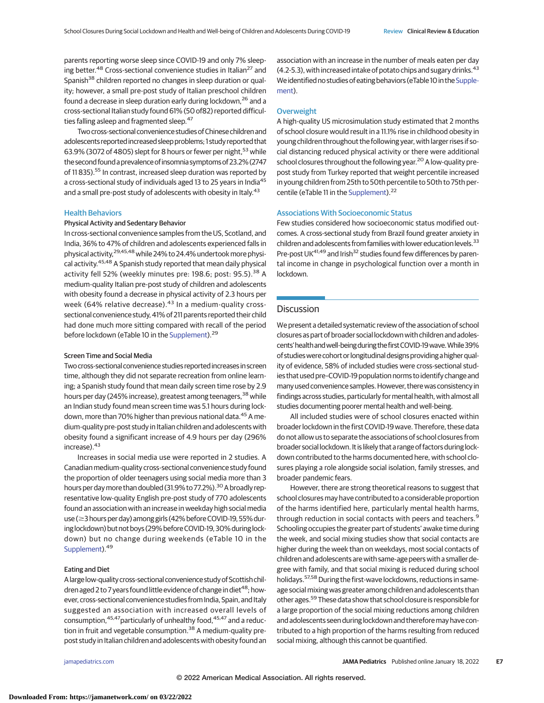parents reporting worse sleep since COVID-19 and only 7% sleeping better.<sup>48</sup> Cross-sectional convenience studies in Italian<sup>27</sup> and Spanish<sup>38</sup> children reported no changes in sleep duration or quality; however, a small pre-post study of Italian preschool children found a decrease in sleep duration early during lockdown,<sup>26</sup> and a cross-sectional Italian study found 61% (50 of82) reported difficulties falling asleep and fragmented sleep.<sup>47</sup>

Two cross-sectional convenience studies of Chinese children and adolescents reported increased sleep problems; 1 study reported that 63.9% (3072 of 4805) slept for 8 hours or fewer per night,<sup>53</sup> while the second founda prevalence of insomnia symptoms of 23.2% (2747 of 11 835).<sup>55</sup> In contrast, increased sleep duration was reported by a cross-sectional study of individuals aged 13 to 25 years in India<sup>45</sup> and a small pre-post study of adolescents with obesity in Italy.<sup>43</sup>

## Health Behaviors

## Physical Activity and Sedentary Behavior

In cross-sectional convenience samples from the US, Scotland, and India, 36% to 47% of children and adolescents experienced falls in physical activity, <sup>29,45,48</sup> while 24% to 24.4% undertook more physical activity.<sup>45,48</sup> A Spanish study reported that mean daily physical activity fell 52% (weekly minutes pre: 198.6; post: 95.5).<sup>38</sup> A medium-quality Italian pre-post study of children and adolescents with obesity found a decrease in physical activity of 2.3 hours per week (64% relative decrease).<sup>43</sup> In a medium-quality crosssectional convenience study, 41% of 211 parents reported their child had done much more sitting compared with recall of the period before lockdown (eTable 10 in the [Supplement\)](https://jamanetwork.com/journals/jama/fullarticle/10.1001/jamapediatrics.2021.5840?utm_campaign=articlePDF%26utm_medium=articlePDFlink%26utm_source=articlePDF%26utm_content=jamapediatrics.2021.5840).<sup>29</sup>

## Screen Time and Social Media

Two cross-sectional convenience studies reported increases in screen time, although they did not separate recreation from online learning; a Spanish study found that mean daily screen time rose by 2.9 hours per day (245% increase), greatest among teenagers,<sup>38</sup> while an Indian study found mean screen time was 5.1 hours during lockdown, more than 70% higher than previous national data.<sup>45</sup> A medium-quality pre-post study in Italian children and adolescents with obesity found a significant increase of 4.9 hours per day (296% increase). $43$ 

Increases in social media use were reported in 2 studies. A Canadian medium-quality cross-sectional convenience study found the proportion of older teenagers using social media more than 3 hours per day more than doubled (31.9% to 77.2%).<sup>30</sup> A broadly representative low-quality English pre-post study of 770 adolescents found an association with an increase in weekday high social media use (≥3 hours per day) among girls (42% before COVID-19, 55% during lockdown) but not boys (29% before COVID-19, 30% during lockdown) but no change during weekends (eTable 10 in the [Supplement\)](https://jamanetwork.com/journals/jama/fullarticle/10.1001/jamapediatrics.2021.5840?utm_campaign=articlePDF%26utm_medium=articlePDFlink%26utm_source=articlePDF%26utm_content=jamapediatrics.2021.5840).<sup>49</sup>

## Eating and Diet

A large low-quality cross-sectional convenience study of Scottish children aged 2 to 7 years found little evidence of change in diet<sup>48</sup>; however, cross-sectional convenience studies from India, Spain, and Italy suggested an association with increased overall levels of consumption,<sup>45,47</sup>particularly of unhealthy food,<sup>45,47</sup> and a reduction in fruit and vegetable consumption.<sup>38</sup> A medium-quality prepost study in Italian children and adolescents with obesity found an

association with an increase in the number of meals eaten per day (4.2-5.3), with increased intake of potato chips and sugary drinks.<sup>43</sup> We identified no studies of eating behaviors (eTable 10 in the Supple[ment\)](https://jamanetwork.com/journals/jama/fullarticle/10.1001/jamapediatrics.2021.5840?utm_campaign=articlePDF%26utm_medium=articlePDFlink%26utm_source=articlePDF%26utm_content=jamapediatrics.2021.5840).

## **Overweight**

A high-quality US microsimulation study estimated that 2 months of school closure would result in a 11.1% rise in childhood obesity in young children throughout the following year, with larger rises if social distancing reduced physical activity or there were additional school closures throughout the following year.<sup>20</sup> A low-quality prepost study from Turkey reported that weight percentile increased in young children from 25th to 50th percentile to 50th to 75th per-centile (eTable 11 in the [Supplement\)](https://jamanetwork.com/journals/jama/fullarticle/10.1001/jamapediatrics.2021.5840?utm_campaign=articlePDF%26utm_medium=articlePDFlink%26utm_source=articlePDF%26utm_content=jamapediatrics.2021.5840).<sup>22</sup>

## Associations With Socioeconomic Status

Few studies considered how socioeconomic status modified outcomes. A cross-sectional study from Brazil found greater anxiety in children and adolescents from families with lower education levels.<sup>33</sup> Pre-post UK<sup>41,49</sup> and Irish<sup>32</sup> studies found few differences by parental income in change in psychological function over a month in lockdown.

## **Discussion**

We present a detailed systematic review of the association of school closures as part of broader social lockdown with children and adolescents' health and well-being during the first COVID-19 wave. While 39% of studies were cohort or longitudinal designs providing a higher quality of evidence, 58% of included studies were cross-sectional studies that used pre–COVID-19 population norms to identify change and many used convenience samples. However, there was consistency in findings across studies, particularly for mental health, with almost all studies documenting poorer mental health and well-being.

All included studies were of school closures enacted within broader lockdown in the first COVID-19 wave. Therefore, these data do not allow us to separate the associations of school closures from broader social lockdown. It is likely that a range of factors during lockdown contributed to the harms documented here, with school closures playing a role alongside social isolation, family stresses, and broader pandemic fears.

However, there are strong theoretical reasons to suggest that school closures may have contributed to a considerable proportion of the harms identified here, particularly mental health harms, through reduction in social contacts with peers and teachers.<sup>9</sup> Schooling occupies the greater part of students' awake time during the week, and social mixing studies show that social contacts are higher during the week than on weekdays, most social contacts of children and adolescents are with same-age peers with a smaller degree with family, and that social mixing is reduced during school holidays.<sup>57,58</sup> During the first-wave lockdowns, reductions in sameage social mixing was greater among children and adolescents than other ages.59 These data show that school closure is responsible for a large proportion of the social mixing reductions among children and adolescents seen during lockdown and thereforemay have contributed to a high proportion of the harms resulting from reduced social mixing, although this cannot be quantified.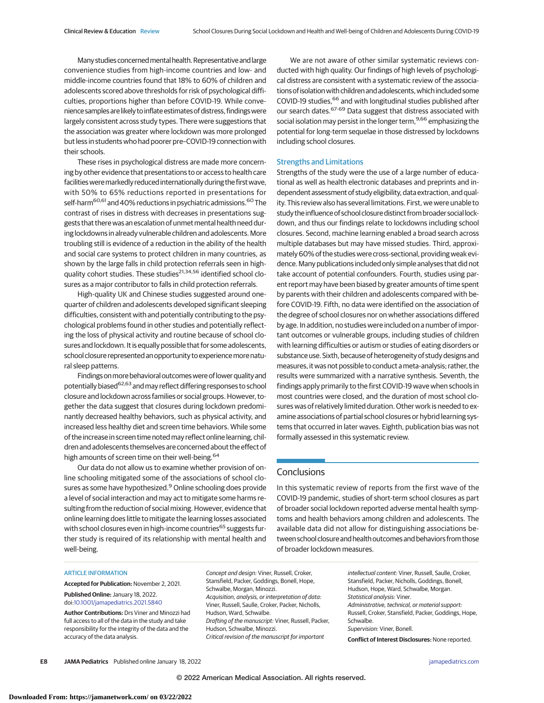Many studies concerned mental health. Representative and large convenience studies from high-income countries and low- and middle-income countries found that 18% to 60% of children and adolescents scored above thresholds for risk of psychological difficulties, proportions higher than before COVID-19. While convenience samples are likely to inflate estimates of distress, findings were largely consistent across study types. There were suggestions that the association was greater where lockdown was more prolonged but less in students who had poorer pre–COVID-19 connection with their schools.

These rises in psychological distress are made more concerning by other evidence that presentations to or access to health care facilities were markedly reduced internationally during the first wave, with 50% to 65% reductions reported in presentations for self-harm<sup>60,61</sup> and 40% reductions in psychiatric admissions.<sup>60</sup> The contrast of rises in distress with decreases in presentations suggests that there was an escalation of unmet mental health need during lockdowns in already vulnerable children and adolescents. More troubling still is evidence of a reduction in the ability of the health and social care systems to protect children in many countries, as shown by the large falls in child protection referrals seen in highquality cohort studies. These studies<sup>21,34,56</sup> identified school closures as a major contributor to falls in child protection referrals.

High-quality UK and Chinese studies suggested around onequarter of children and adolescents developed significant sleeping difficulties, consistent with and potentially contributing to the psychological problems found in other studies and potentially reflecting the loss of physical activity and routine because of school closures and lockdown. It is equally possible that for some adolescents, school closure represented an opportunity to experience more natural sleep patterns.

Findings on more behavioral outcomes were of lower quality and potentially biased<sup>62,63</sup> and may reflect differing responses to school closure and lockdown across families or social groups. However, together the data suggest that closures during lockdown predominantly decreased healthy behaviors, such as physical activity, and increased less healthy diet and screen time behaviors. While some of the increase in screen time notedmay reflect online learning, children and adolescents themselves are concerned about the effect of high amounts of screen time on their well-being.<sup>64</sup>

Our data do not allow us to examine whether provision of online schooling mitigated some of the associations of school closures as some have hypothesized.<sup>9</sup> Online schooling does provide a level of social interaction and may act to mitigate some harms resulting from the reduction of social mixing. However, evidence that online learning does little to mitigate the learning losses associated with school closures even in high-income countries<sup>65</sup> suggests further study is required of its relationship with mental health and well-being.

We are not aware of other similar systematic reviews conducted with high quality. Our findings of high levels of psychological distress are consistent with a systematic review of the associations of isolation with children and adolescents, which included some COVID-19 studies, <sup>66</sup> and with longitudinal studies published after our search dates.<sup>67-69</sup> Data suggest that distress associated with social isolation may persist in the longer term, 9,66 emphasizing the potential for long-term sequelae in those distressed by lockdowns including school closures.

# Strengths and Limitations

Strengths of the study were the use of a large number of educational as well as health electronic databases and preprints and independent assessment of study eligibility, data extraction, and quality. This review also has several limitations. First, we were unable to study the influence of school closure distinct from broader social lockdown, and thus our findings relate to lockdowns including school closures. Second, machine learning enabled a broad search across multiple databases but may have missed studies. Third, approximately 60% of the studies were cross-sectional, providing weak evidence.Many publications included only simple analyses that did not take account of potential confounders. Fourth, studies using parent report may have been biased by greater amounts of time spent by parents with their children and adolescents compared with before COVID-19. Fifth, no data were identified on the association of the degree of school closures nor on whether associations differed by age. In addition, no studies were included on a number of important outcomes or vulnerable groups, including studies of children with learning difficulties or autism or studies of eating disorders or substance use. Sixth, because of heterogeneity of study designs and measures, it was not possible to conduct ameta-analysis; rather, the results were summarized with a narrative synthesis. Seventh, the findings apply primarily to the first COVID-19 wave when schools in most countries were closed, and the duration of most school closures was of relatively limited duration. Other work is needed to examine associations of partial school closures or hybrid learning systems that occurred in later waves. Eighth, publication bias was not formally assessed in this systematic review.

# **Conclusions**

In this systematic review of reports from the first wave of the COVID-19 pandemic, studies of short-term school closures as part of broader social lockdown reported adverse mental health symptoms and health behaviors among children and adolescents. The available data did not allow for distinguishing associations between school closure and health outcomes and behaviors from those of broader lockdown measures.

#### ARTICLE INFORMATION

**Accepted for Publication:** November 2, 2021. **Published Online:** January 18, 2022. doi[:10.1001/jamapediatrics.2021.5840](https://jamanetwork.com/journals/jama/fullarticle/10.1001/jamapediatrics.2021.5840?utm_campaign=articlePDF%26utm_medium=articlePDFlink%26utm_source=articlePDF%26utm_content=jamapediatrics.2021.5840)

**Author Contributions:** Drs Viner and Minozzi had full access to all of the data in the study and take responsibility for the integrity of the data and the accuracy of the data analysis.

Concept and design: Viner, Russell, Croker, Stansfield, Packer, Goddings, Bonell, Hope, Schwalbe, Morgan, Minozzi. Acquisition, analysis, or interpretation of data: Viner, Russell, Saulle, Croker, Packer, Nicholls, Hudson, Ward, Schwalbe. Drafting of the manuscript: Viner, Russell, Packer, Hudson, Schwalbe, Minozzi. Critical revision of the manuscript for important

intellectual content: Viner, Russell, Saulle, Croker, Stansfield, Packer, Nicholls, Goddings, Bonell, Hudson, Hope, Ward, Schwalbe, Morgan. Statistical analysis: Viner. Administrative, technical, or material support: Russell, Croker, Stansfield, Packer, Goddings, Hope, Schwalbe. Supervision: Viner, Bonell. **Conflict of Interest Disclosures:** None reported.

**E8 JAMA Pediatrics** Published online January 18, 2022 **(Reprinted)** [jamapediatrics.com](http://www.jamapediatrics.com?utm_campaign=articlePDF%26utm_medium=articlePDFlink%26utm_source=articlePDF%26utm_content=jamapediatrics.2021.5840)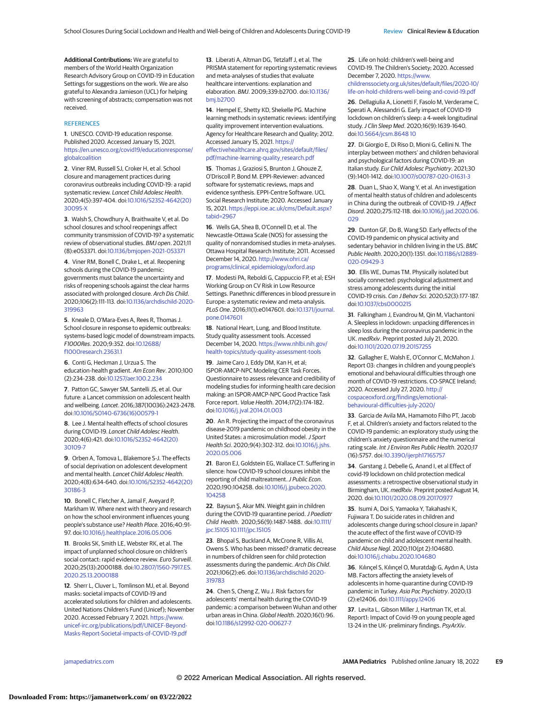**Additional Contributions:** We are grateful to members of the World Health Organization Research Advisory Group on COVID-19 in Education Settings for suggestions on the work. We are also grateful to Alexandra Jamieson (UCL) for helping with screening of abstracts; compensation was not received.

#### **REFERENCES**

**1**. UNESCO. COVID-19 education response. Published 2020. Accessed January 15, 2021. [https://en.unesco.org/covid19/educationresponse/](https://en.unesco.org/covid19/educationresponse/globalcoalition) [globalcoalition](https://en.unesco.org/covid19/educationresponse/globalcoalition)

**2**. Viner RM, Russell SJ, Croker H, et al. School closure and management practices during coronavirus outbreaks including COVID-19: a rapid systematic review. Lancet Child Adolesc Health. 2020;4(5):397-404. doi[:10.1016/S2352-4642\(20\)](https://dx.doi.org/10.1016/S2352-4642(20)30095-X) [30095-X](https://dx.doi.org/10.1016/S2352-4642(20)30095-X)

**3**. Walsh S, Chowdhury A, Braithwaite V, et al. Do school closures and school reopenings affect community transmission of COVID-19? a systematic review of observational studies. BMJ open. 2021;11 (8):e053371. doi[:10.1136/bmjopen-2021-053371](https://dx.doi.org/10.1136/bmjopen-2021-053371)

**4**. Viner RM, Bonell C, Drake L, et al. Reopening schools during the COVID-19 pandemic: governments must balance the uncertainty and risks of reopening schools against the clear harms associated with prolonged closure. Arch Dis Child. 2020;106(2):111-113. doi[:10.1136/archdischild-2020-](https://dx.doi.org/10.1136/archdischild-2020-319963) [319963](https://dx.doi.org/10.1136/archdischild-2020-319963)

**5**. Kneale D, O'Mara-Eves A, Rees R, Thomas J. School closure in response to epidemic outbreaks: systems-based logic model of downstream impacts. F1000Res. 2020;9:352. doi[:10.12688/](https://dx.doi.org/10.12688/f1000research.23631.1) [f1000research.23631.1](https://dx.doi.org/10.12688/f1000research.23631.1)

**6**. Conti G, Heckman J, Urzua S. The education-health gradient. Am Econ Rev. 2010;100 (2):234-238. doi[:10.1257/aer.100.2.234](https://dx.doi.org/10.1257/aer.100.2.234)

**7**. Patton GC, Sawyer SM, Santelli JS, et al. Our future: a Lancet commission on adolescent health and wellbeing. Lancet. 2016;387(10036):2423-2478. doi[:10.1016/S0140-6736\(16\)00579-1](https://dx.doi.org/10.1016/S0140-6736(16)00579-1)

**8**. Lee J. Mental health effects of school closures during COVID-19. Lancet Child Adolesc Health. 2020;4(6):421. doi[:10.1016/S2352-4642\(20\)](https://dx.doi.org/10.1016/S2352-4642(20)30109-7) [30109-7](https://dx.doi.org/10.1016/S2352-4642(20)30109-7)

**9**. Orben A, Tomova L, Blakemore S-J. The effects of social deprivation on adolescent development and mental health. Lancet Child Adolesc Health. 2020;4(8):634-640. doi[:10.1016/S2352-4642\(20\)](https://dx.doi.org/10.1016/S2352-4642(20)30186-3) [30186-3](https://dx.doi.org/10.1016/S2352-4642(20)30186-3)

**10**. Bonell C, Fletcher A, Jamal F, Aveyard P, Markham W. Where next with theory and research on how the school environment influences young people's substance use? Health Place. 2016;40:91- 97. doi[:10.1016/j.healthplace.2016.05.006](https://dx.doi.org/10.1016/j.healthplace.2016.05.006)

**11**. Brooks SK, Smith LE, Webster RK, et al. The impact of unplanned school closure on children's social contact: rapid evidence review. Euro Surveill. 2020;25(13):2000188. doi[:10.2807/1560-7917.ES.](https://dx.doi.org/10.2807/1560-7917.ES.2020.25.13.2000188) [2020.25.13.2000188](https://dx.doi.org/10.2807/1560-7917.ES.2020.25.13.2000188)

**12**. Sherr L, Cluver L, Tomlinson MJ, et al. Beyond masks: societal impacts of COVID-19 and accelerated solutions for children and adolescents. United Nations Children's Fund (Unicef); November 2020. Accessed February 7, 2021. [https://www.](https://www.unicef-irc.org/publications/pdf/UNICEF-Beyond-Masks-Report-Societal-impacts-of-COVID-19.pdf) [unicef-irc.org/publications/pdf/UNICEF-Beyond-](https://www.unicef-irc.org/publications/pdf/UNICEF-Beyond-Masks-Report-Societal-impacts-of-COVID-19.pdf)[Masks-Report-Societal-impacts-of-COVID-19.pdf](https://www.unicef-irc.org/publications/pdf/UNICEF-Beyond-Masks-Report-Societal-impacts-of-COVID-19.pdf)

**13**. Liberati A, Altman DG, Tetzlaff J, et al. The PRISMA statement for reporting systematic reviews and meta-analyses of studies that evaluate healthcare interventions: explanation and elaboration. BMJ. 2009;339:b2700. doi[:10.1136/](https://dx.doi.org/10.1136/bmj.b2700) [bmj.b2700](https://dx.doi.org/10.1136/bmj.b2700)

**14**. Hempel E, Shetty KD, Shekelle PG. Machine learning methods in systematic reviews: identifying quality improvement intervention evaluations. Agency for Healthcare Research and Quality; 2012. Accessed January 15, 2021. [https://](https://effectivehealthcare.ahrq.gov/sites/default/files/pdf/machine-learning-quality_research.pdf) [effectivehealthcare.ahrq.gov/sites/default/files/](https://effectivehealthcare.ahrq.gov/sites/default/files/pdf/machine-learning-quality_research.pdf) [pdf/machine-learning-quality\\_research.pdf](https://effectivehealthcare.ahrq.gov/sites/default/files/pdf/machine-learning-quality_research.pdf)

**15**. Thomas J, Graziosi S, Brunton J, Ghouze Z, O'Driscoll P, Bond M. EPPI-Reviewer: advanced software for systematic reviews, maps and evidence synthesis. EPPI-Centre Software. UCL Social Research Institute; 2020. Accessed January 15, 2021. [https://eppi.ioe.ac.uk/cms/Default.aspx?](https://eppi.ioe.ac.uk/cms/Default.aspx?tabid=2967) [tabid=2967](https://eppi.ioe.ac.uk/cms/Default.aspx?tabid=2967)

**16**. Wells GA, Shea B, O'Connell D, et al. The Newcastle-Ottawa Scale (NOS) for assessing the quality of nonrandomised studies in meta-analyses. Ottawa Hospital Research Institute; 2011. Accessed December 14, 2020. [http://www.ohri.ca/](http://www.ohri.ca/programs/clinical_epidemiology/oxford.asp) [programs/clinical\\_epidemiology/oxford.asp](http://www.ohri.ca/programs/clinical_epidemiology/oxford.asp)

**17**. Modesti PA, Reboldi G, Cappuccio FP, et al; ESH Working Group on CV Risk in Low Resource Settings. Panethnic differences in blood pressure in Europe: a systematic review and meta-analysis. PLoS One. 2016;11(1):e0147601. doi[:10.1371/journal.](https://dx.doi.org/10.1371/journal.pone.0147601) [pone.0147601](https://dx.doi.org/10.1371/journal.pone.0147601)

**18**. National Heart, Lung, and Blood Institute. Study quality assessment tools. Accessed December 14, 2020. [https://www.nhlbi.nih.gov/](https://www.nhlbi.nih.gov/health-topics/study-quality-assessment-tools) [health-topics/study-quality-assessment-tools](https://www.nhlbi.nih.gov/health-topics/study-quality-assessment-tools)

**19**. Jaime Caro J, Eddy DM, Kan H, et al; ISPOR-AMCP-NPC Modeling CER Task Forces. Questionnaire to assess relevance and credibility of modeling studies for informing health care decision making: an ISPOR-AMCP-NPC Good Practice Task Force report. Value Health. 2014;17(2):174-182. doi[:10.1016/j.jval.2014.01.003](https://dx.doi.org/10.1016/j.jval.2014.01.003)

**20**. An R. Projecting the impact of the coronavirus disease-2019 pandemic on childhood obesity in the United States: a microsimulation model. J Sport Health Sci. 2020;9(4):302-312. doi[:10.1016/j.jshs.](https://dx.doi.org/10.1016/j.jshs.2020.05.006) [2020.05.006](https://dx.doi.org/10.1016/j.jshs.2020.05.006)

**21**. Baron EJ, Goldstein EG, Wallace CT. Suffering in silence: how COVID-19 school closures inhibit the reporting of child maltreatment. J Public Econ. 2020;190:104258. doi[:10.1016/j.jpubeco.2020.](https://dx.doi.org/10.1016/j.jpubeco.2020.104258) [104258](https://dx.doi.org/10.1016/j.jpubeco.2020.104258)

**22**. Baysun Ş, Akar MN. Weight gain in children during the COVID-19 quarantine period. J Paediatr Child Health. 2020;56(9):1487-1488. doi[:10.1111/](https://dx.doi.org/10.1111/jpc.15105 10.1111/jpc.15105) [jpc.15105 10.1111/jpc.15105](https://dx.doi.org/10.1111/jpc.15105 10.1111/jpc.15105)

**23**. Bhopal S, Buckland A, McCrone R, Villis AI, Owens S. Who has been missed? dramatic decrease in numbers of children seen for child protection assessments during the pandemic. Arch Dis Child. 2021;106(2):e6. doi[:10.1136/archdischild-2020-](https://dx.doi.org/10.1136/archdischild-2020-319783) [319783](https://dx.doi.org/10.1136/archdischild-2020-319783)

**24**. Chen S, Cheng Z, Wu J. Risk factors for adolescents' mental health during the COVID-19 pandemic: a comparison between Wuhan and other urban areas in China. Global Health. 2020;16(1):96. doi[:10.1186/s12992-020-00627-7](https://dx.doi.org/10.1186/s12992-020-00627-7)

**25**. Life on hold: children's well-being and COVID-19. The Children's Society; 2020. Accessed December 7, 2020. [https://www.](https://www.childrenssociety.org.uk/sites/default/files/2020-10/life-on-hold-childrens-well-being-and-covid-19.pdf) [childrenssociety.org.uk/sites/default/files/2020-10/](https://www.childrenssociety.org.uk/sites/default/files/2020-10/life-on-hold-childrens-well-being-and-covid-19.pdf)

[life-on-hold-childrens-well-being-and-covid-19.pdf](https://www.childrenssociety.org.uk/sites/default/files/2020-10/life-on-hold-childrens-well-being-and-covid-19.pdf) **26**. Dellagiulia A, Lionetti F, Fasolo M, Verderame C, Sperati A, Alessandri G. Early impact of COVID-19

lockdown on children's sleep: a 4-week longitudinal study.J Clin Sleep Med. 2020;16(9):1639-1640. doi[:10.5664/jcsm.8648 10](https://dx.doi.org/10.5664/jcsm.8648 10)

**27**. Di Giorgio E, Di Riso D, Mioni G, Cellini N. The interplay between mothers' and children behavioral and psychological factors during COVID-19: an Italian study. Eur Child Adolesc Psychiatry. 2021;30 (9):1401-1412. doi[:10.1007/s00787-020-01631-3](https://dx.doi.org/10.1007/s00787-020-01631-3)

**28**. Duan L, Shao X, Wang Y, et al. An investigation of mental health status of children and adolescents in China during the outbreak of COVID-19. J Affect Disord. 2020;275:112-118. doi[:10.1016/j.jad.2020.06.](https://dx.doi.org/10.1016/j.jad.2020.06.029) [029](https://dx.doi.org/10.1016/j.jad.2020.06.029)

**29**. Dunton GF, Do B, Wang SD. Early effects of the COVID-19 pandemic on physical activity and sedentary behavior in children living in the US. BMC Public Health. 2020;20(1):1351. doi[:10.1186/s12889-](https://dx.doi.org/10.1186/s12889-020-09429-3) [020-09429-3](https://dx.doi.org/10.1186/s12889-020-09429-3)

**30**. Ellis WE, Dumas TM. Physically isolated but socially connected: psychological adjustment and stress among adolescents during the initial COVID-19 crisis. Can J Behav Sci. 2020;52(3):177-187. doi[:10.1037/cbs0000215](https://dx.doi.org/10.1037/cbs0000215)

**31**. Falkingham J, Evandrou M, Qin M, Vlachantoni A. Sleepless in lockdown: unpacking differences in sleep loss during the coronavirus pandemic in the UK. medRxiv. Preprint posted July 21, 2020. doi[:10.1101/2020.07.19.20157255](https://dx.doi.org/10.1101/2020.07.19.20157255)

**32**. Gallagher E, Walsh E, O'Connor C, McMahon J. Report 03: changes in children and young people's emotional and behavioural difficulties through one month of COVID-19 restrictions. CO-SPACE Ireland; 2020. Accessed July 27, 2020. [http://](http://cospaceoxford.org/findings/emotional-behavioural-difficulties-july-2020/) [cospaceoxford.org/findings/emotional](http://cospaceoxford.org/findings/emotional-behavioural-difficulties-july-2020/)[behavioural-difficulties-july-2020/](http://cospaceoxford.org/findings/emotional-behavioural-difficulties-july-2020/)

**33**. Garcia de Avila MA, Hamamoto Filho PT, Jacob F, et al. Children's anxiety and factors related to the COVID-19 pandemic: an exploratory study using the children's anxiety questionnaire and the numerical rating scale. Int J Environ Res Public Health. 2020;17 (16):5757. doi[:10.3390/ijerph17165757](https://dx.doi.org/10.3390/ijerph17165757)

**34**. Garstang J, Debelle G, Anand I, et al Effect of covid-19 lockdown on child protection medical assessments: a retrospective observational study in Birmingham, UK. medRxiv. Preprint posted August 14, 2020. doi[:10.1101/2020.08.09.20170977](https://dx.doi.org/10.1101/2020.08.09.20170977)

**35**. Isumi A, Doi S, Yamaoka Y, Takahashi K, Fujiwara T. Do suicide rates in children and adolescents change during school closure in Japan? the acute effect of the first wave of COVID-19 pandemic on child and adolescent mental health. Child Abuse Negl. 2020;110(pt 2):104680. doi[:10.1016/j.chiabu.2020.104680](https://dx.doi.org/10.1016/j.chiabu.2020.104680)

**36**. Kılınçel S, Kılınçel O, Muratdağı G, Aydın A, Usta MB. Factors affecting the anxiety levels of adolescents in home-quarantine during COVID-19 pandemic in Turkey. Asia Pac Psychiatry. 2020;13 (2):e12406. doi[:10.1111/appy.12406](https://dx.doi.org/10.1111/appy.12406)

**37**. Levita L, Gibson Miller J, Hartman TK, et al. Report1: Impact of Covid-19 on young people aged 13-24 in the UK- preliminary findings. PsyArXiv.